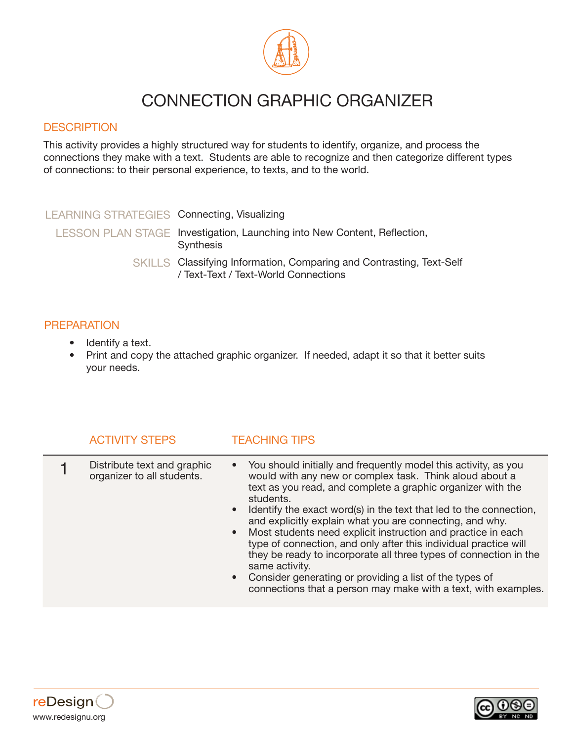

## CONNECTION GRAPHIC ORGANIZER

### **DESCRIPTION**

This activity provides a highly structured way for students to identify, organize, and process the connections they make with a text. Students are able to recognize and then categorize different types of connections: to their personal experience, to texts, and to the world.

| LEARNING STRATEGIES Connecting, Visualizing |                                                                                                              |
|---------------------------------------------|--------------------------------------------------------------------------------------------------------------|
|                                             | LESSON PLAN STAGE Investigation, Launching into New Content, Reflection,<br>Synthesis                        |
|                                             | SKILLS Classifying Information, Comparing and Contrasting, Text-Self<br>/ Text-Text / Text-World Connections |

## **PREPARATION**

- Identify a text.
- Print and copy the attached graphic organizer. If needed, adapt it so that it better suits your needs.

| <b>ACTIVITY STEPS</b>                                     | <b>TEACHING TIPS</b>                                                                                                                                                                                                                                                                                                                                                                                                                                                                                                                                                                                                                                                                                     |
|-----------------------------------------------------------|----------------------------------------------------------------------------------------------------------------------------------------------------------------------------------------------------------------------------------------------------------------------------------------------------------------------------------------------------------------------------------------------------------------------------------------------------------------------------------------------------------------------------------------------------------------------------------------------------------------------------------------------------------------------------------------------------------|
| Distribute text and graphic<br>organizer to all students. | • You should initially and frequently model this activity, as you<br>would with any new or complex task. Think aloud about a<br>text as you read, and complete a graphic organizer with the<br>students.<br>• Identify the exact word(s) in the text that led to the connection,<br>and explicitly explain what you are connecting, and why.<br>• Most students need explicit instruction and practice in each<br>type of connection, and only after this individual practice will<br>they be ready to incorporate all three types of connection in the<br>same activity.<br>• Consider generating or providing a list of the types of<br>connections that a person may make with a text, with examples. |